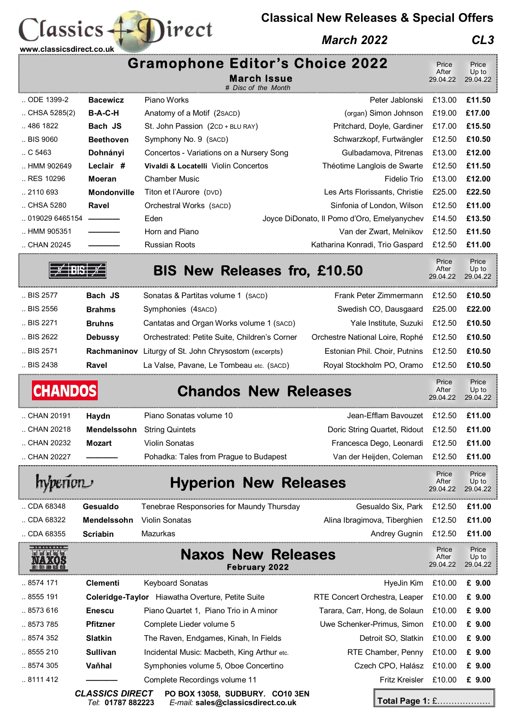## **Classical New Releases & Special Offers**

## *March 2022 CL3*

| www.classicsdirect.co.uk                                            |                                             |                                                                                     |                                             |                            |                            |
|---------------------------------------------------------------------|---------------------------------------------|-------------------------------------------------------------------------------------|---------------------------------------------|----------------------------|----------------------------|
|                                                                     |                                             | <b>Gramophone Editor's Choice 2022</b><br><b>March Issue</b><br># Disc of the Month |                                             | Price<br>After<br>29.04.22 | Price<br>Up to<br>29.04.22 |
| ODE 1399-2                                                          | <b>Bacewicz</b>                             | Piano Works                                                                         | Peter Jablonski                             | £13.00                     | £11.50                     |
| $\ldots$ CHSA 5285(2)                                               | <b>B-A-C-H</b>                              | Anatomy of a Motif (2 s ACD)                                                        | (organ) Simon Johnson                       | £19.00                     | £17.00                     |
| 486 1822                                                            | Bach JS                                     | St. John Passion (2CD + BLU RAY)                                                    | Pritchard, Doyle, Gardiner                  | £17.00                     | £15.50                     |
| BIS 9060                                                            | <b>Beethoven</b>                            | Symphony No. 9 (SACD)                                                               | Schwarzkopf, Furtwängler                    | £12.50                     | £10.50                     |
| $\,$ C 5463                                                         | Dohnányi                                    | Concertos - Variations on a Nursery Song                                            | Gulbadamova, Pitrenas                       | £13.00                     | £12.00                     |
| HMM 902649                                                          | Leclair #                                   | Vivaldi & Locatelli Violin Concertos                                                | Théotime Langlois de Swarte                 | £12.50                     | £11.50                     |
| RES 10296                                                           | <b>Moeran</b>                               | <b>Chamber Music</b>                                                                | <b>Fidelio Trio</b>                         | £13.00                     | £12.00                     |
| 2110 693                                                            | <b>Mondonville</b>                          | Titon et l'Aurore (DVD)                                                             | Les Arts Florissants, Christie              | £25.00                     | £22.50                     |
| CHSA 5280                                                           | Ravel                                       | Orchestral Works (SACD)                                                             | Sinfonia of London, Wilson                  | £12.50                     | £11.00                     |
| 019029 6465154                                                      |                                             | Eden                                                                                | Joyce DiDonato, Il Pomo d'Oro, Emelyanychev | £14.50                     | £13.50                     |
| HMM 905351                                                          |                                             | Horn and Piano                                                                      | Van der Zwart, Melnikov                     | £12.50                     | £11.50                     |
| CHAN 20245                                                          |                                             | <b>Russian Roots</b>                                                                | Katharina Konradi, Trio Gaspard             | £12.50                     | £11.00                     |
|                                                                     |                                             | <b>BIS New Releases fro, £10.50</b>                                                 |                                             | Price<br>After<br>29.04.22 | Price<br>Up to<br>29.04.22 |
| BIS 2577                                                            | Bach JS                                     | Sonatas & Partitas volume 1 (SACD)                                                  | Frank Peter Zimmermann                      | £12.50                     | £10.50                     |
| BIS 2556                                                            | <b>Brahms</b>                               | Symphonies (4 SACD)                                                                 | Swedish CO, Dausgaard                       | £25.00                     | £22.00                     |
| BIS 2271                                                            | <b>Bruhns</b>                               | Cantatas and Organ Works volume 1 (SACD)                                            | Yale Institute, Suzuki                      | £12.50                     | £10.50                     |
| BIS 2622                                                            | <b>Debussy</b>                              | Orchestrated: Petite Suite, Children's Corner                                       | Orchestre National Loire, Rophé             | £12.50                     | £10.50                     |
| BIS 2571                                                            |                                             |                                                                                     |                                             | £12.50                     | £10.50                     |
|                                                                     | Rachmaninov                                 | Liturgy of St. John Chrysostom (excerpts)                                           | Estonian Phil. Choir, Putnins               |                            |                            |
| BIS 2438                                                            | Ravel                                       | La Valse, Pavane, Le Tombeau etc. (SACD)                                            | Royal Stockholm PO, Oramo                   | £12.50                     | £10.50                     |
| <b>CHANDOS</b>                                                      |                                             | <b>Chandos New Releases</b>                                                         |                                             | Price<br>After<br>29.04.22 | Price<br>Up to<br>29.04.22 |
| CHAN 20191                                                          | Haydn                                       | Piano Sonatas volume 10                                                             | Jean-Efflam Bavouzet £12.50                 |                            | £11.00                     |
| <b>CHAN 20218</b>                                                   |                                             | Mendelssohn String Quintets                                                         | Doric String Quartet, Ridout £12.50 £11.00  |                            |                            |
| CHAN 20232                                                          | Mozart                                      | Violin Sonatas                                                                      | Francesca Dego, Leonardi £12.50             |                            | £11.00                     |
| CHAN 20227                                                          |                                             | Pohadka: Tales from Prague to Budapest                                              | Van der Heijden, Coleman                    | £12.50                     | £11.00                     |
| <b>Hyperion New Releases</b><br>hyperion                            |                                             |                                                                                     |                                             | Price<br>After<br>29.04.22 | Price<br>Up to<br>29.04.22 |
| CDA 68348                                                           | Gesualdo                                    | Tenebrae Responsories for Maundy Thursday                                           | Gesualdo Six, Park                          | £12.50                     | £11.00                     |
| CDA 68322                                                           | Mendelssohn                                 | Violin Sonatas                                                                      | Alina Ibragimova, Tiberghien                | £12.50                     | £11.00                     |
| CDA 68355                                                           | <b>Scriabin</b>                             | <b>Mazurkas</b>                                                                     | Andrey Gugnin                               | £12.50                     | £11.00                     |
| ीलों केलों केलों कियों पैसा<br><b>NAXOS</b><br>UNI QUE NIB ANTI QUE |                                             | <b>Releases</b><br><b>Naxos New</b><br><b>February 2022</b>                         |                                             | Price<br>After<br>29.04.22 | Price<br>Up to<br>29.04.22 |
| 8574 171                                                            | <b>Clementi</b>                             | <b>Keyboard Sonatas</b>                                                             | HyeJin Kim                                  | £10.00                     | £ 9.00                     |
| 8555 191                                                            |                                             | Coleridge-Taylor Hiawatha Overture, Petite Suite                                    | RTE Concert Orchestra, Leaper               | £10.00                     | £ 9.00                     |
| 8573 616                                                            | <b>Enescu</b>                               | Piano Quartet 1, Piano Trio in A minor                                              | Tarara, Carr, Hong, de Solaun               | £10.00                     | £ 9.00                     |
| 8573 785                                                            | <b>Pfitzner</b>                             | Complete Lieder volume 5                                                            | Uwe Schenker-Primus, Simon                  | £10.00                     | £ 9.00                     |
| 8574 352                                                            | Slatkin                                     | The Raven, Endgames, Kinah, In Fields                                               | Detroit SO, Slatkin                         | £10.00                     | £ 9.00                     |
| 8555 210                                                            | Sullivan                                    | Incidental Music: Macbeth, King Arthur etc.                                         | RTE Chamber, Penny                          | £10.00                     | £ 9.00                     |
| 8574 305                                                            | Vaňhal                                      | Symphonies volume 5, Oboe Concertino                                                | Czech CPO, Halász                           | £10.00                     | £ 9.00                     |
| 8111 412                                                            |                                             | Complete Recordings volume 11                                                       | Fritz Kreisler £10.00                       |                            | £ 9.00                     |
|                                                                     | <b>CLASSICS DIRECT</b><br>Tel: 01787 882223 | PO BOX 13058, SUDBURY. CO10 3EN<br>E-mail: sales@classicsdirect.co.uk               | Total Page 1: £                             |                            |                            |

Classics + Direct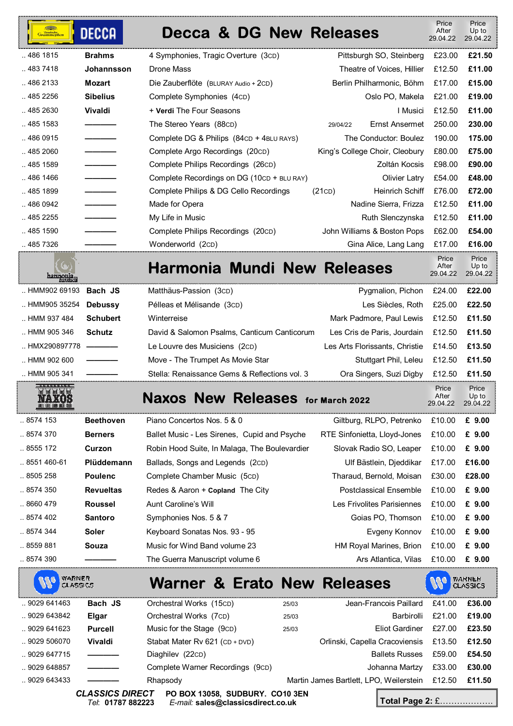| -<br>Grammophon<br>Grammophon | <b>DECCA</b>    | Decca & DG New Releases                    |          |                                | Price<br>After<br>29.04.22 | Price<br>Up to<br>29.04.22 |
|-------------------------------|-----------------|--------------------------------------------|----------|--------------------------------|----------------------------|----------------------------|
| 486 1815                      | <b>Brahms</b>   | 4 Symphonies, Tragic Overture (3cD)        |          | Pittsburgh SO, Steinberg       | £23.00                     | £21.50                     |
| 483 7418                      | Johannsson      | Drone Mass                                 |          | Theatre of Voices. Hillier     | £12.50                     | £11.00                     |
| 486 2133                      | Mozart          | Die Zauberflöte (BLURAY Audio + 2CD)       |          | Berlin Philharmonic, Böhm      | £17.00                     | £15.00                     |
| 485 2256                      | <b>Sibelius</b> | Complete Symphonies (4cD)                  |          | Oslo PO. Makela                | £21.00                     | £19.00                     |
| 485 2630                      | <b>Vivaldi</b>  | + Verdi The Four Seasons                   |          | I Musici                       | £12.50                     | £11.00                     |
| 485 1583                      |                 | The Stereo Years (88CD)                    | 29/04/22 | Ernst Ansermet                 | 250.00                     | 230.00                     |
| 486 0915                      |                 | Complete DG & Philips (84CD + 4BLU RAYS)   |          | The Conductor: Boulez          | 190.00                     | 175.00                     |
| 485 2060                      |                 | Complete Argo Recordings (20cD)            |          | King's College Choir, Cleobury | £80.00                     | £75.00                     |
| 485 1589                      |                 | Complete Philips Recordings (26cD)         |          | Zoltán Kocsis                  | £98.00                     | £90.00                     |
| 486 1466                      |                 | Complete Recordings on DG (10cD + BLU RAY) |          | Olivier Latry                  | £54.00                     | £48.00                     |
| 485 1899                      |                 | Complete Philips & DG Cello Recordings     | (21CD)   | <b>Heinrich Schiff</b>         | £76.00                     | £72.00                     |
| 486 0942                      |                 | Made for Opera                             |          | Nadine Sierra, Frizza          | £12.50                     | £11.00                     |
| 485 2255                      |                 | My Life in Music                           |          | Ruth Slenczynska               | £12.50                     | £11.00                     |
| 485 1590                      |                 | Complete Philips Recordings (20cD)         |          | John Williams & Boston Pops    | £62.00                     | £54.00                     |
| 485 7326                      |                 | Wonderworld (2cD)                          |          | Gina Alice, Lang Lang          | £17.00                     | £16.00                     |
| harmonia                      |                 | Harmonia Mundi New Releases                |          |                                | Price<br>After<br>29.04.22 | Price<br>Up to<br>29.04.22 |

| шшшш                           |                 |                                               |                                              |        |
|--------------------------------|-----------------|-----------------------------------------------|----------------------------------------------|--------|
| HMM902 69193 <b>Bach JS</b>    |                 | Matthäus-Passion (3cD)                        | Pygmalion, Pichon £24.00 £22.00              |        |
| HMM905 35254                   | <b>Debussy</b>  | Pélleas et Mélisande (3cD)                    | Les Siècles, Roth £25.00                     | £22.50 |
| HMM 937 484                    | <b>Schubert</b> | Winterreise                                   | Mark Padmore, Paul Lewis £12.50 £11.50       |        |
| HMM 905 346                    | <b>Schutz</b>   | David & Salomon Psalms, Canticum Canticorum   | Les Cris de Paris, Jourdain £12.50 £11.50    |        |
| HMX290897778 $\longrightarrow$ |                 | Le Louvre des Musiciens (2cD)                 | Les Arts Florissants, Christie £14.50 £13.50 |        |
| HMM 902 600                    |                 | Move - The Trumpet As Movie Star              | Stuttgart Phil, Leleu £12.50                 | £11.50 |
| HMM 905 341                    |                 | Stella: Renaissance Gems & Reflections vol. 3 | Ora Singers, Suzi Digby £12.50 £11.50        |        |

| $\ldots$ 8574 153    | <b>Beethoven</b> | Piano Concertos Nos. 5 & 0                    | Giltburg, RLPO, Petrenko      | £10.00 | £ 9.00 |
|----------------------|------------------|-----------------------------------------------|-------------------------------|--------|--------|
| $\ldots$ 8574 370    | <b>Berners</b>   | Ballet Music - Les Sirenes, Cupid and Psyche  | RTE Sinfonietta, Lloyd-Jones  | £10.00 | £ 9.00 |
| $\ldots$ 8555 172    | Curzon           | Robin Hood Suite, In Malaga, The Boulevardier | Slovak Radio SO, Leaper       | £10.00 | £ 9.00 |
| $\ldots$ 8551 460-61 | Plüddemann       | Ballads, Songs and Legends (2cD)              | Ulf Bästlein, Dieddikar       | £17.00 | £16.00 |
| $\ldots$ 8505 258    | <b>Poulenc</b>   | Complete Chamber Music (5cD)                  | Tharaud, Bernold, Moisan      | £30.00 | £28.00 |
| 8574 350             | <b>Revueltas</b> | Redes & Aaron + Copland The City              | <b>Postclassical Ensemble</b> | £10.00 | £ 9.00 |
| $\ldots$ 8660 479    | <b>Roussel</b>   | Aunt Caroline's Will                          | Les Frivolites Parisiennes    | £10.00 | £ 9.00 |
| $\ldots$ 8574 402    | <b>Santoro</b>   | Symphonies Nos. 5 & 7                         | Goias PO. Thomson             | £10.00 | £ 9.00 |
| $\ldots$ 8574 344    | Soler            | Keyboard Sonatas Nos. 93 - 95                 | Evgeny Konnov                 | £10.00 | £ 9.00 |
| $\ldots$ 8559 881    | Souza            | Music for Wind Band volume 23                 | HM Royal Marines, Brion       | £10.00 | £ 9.00 |
| 8574 390             |                  | The Guerra Manuscript volume 6                | Ars Atlantica. Vilas          | £10.00 | £ 9.00 |

| <b>Ale</b>  | <b>WARNER</b><br>CLASSICS | <b>Warner &amp; Erato New Releases</b>     |       |                                         |        | <b>WARNER</b><br>CLASSICS |
|-------------|---------------------------|--------------------------------------------|-------|-----------------------------------------|--------|---------------------------|
| 9029 641463 | Bach JS                   | Orchestral Works (15cD)                    | 25/03 | Jean-Francois Paillard                  | £41.00 | £36.00                    |
| 9029 643842 | Elgar                     | Orchestral Works (7cD)                     | 25/03 | Barbirolli                              | £21.00 | £19.00                    |
| .9029641623 | <b>Purcell</b>            | Music for the Stage (9cD)                  | 25/03 | <b>Fliot Gardiner</b>                   | £27.00 | £23.50                    |
| .9029506070 | Vivaldi                   | Stabat Mater Rv 621 (CD + DVD)             |       | Orlinski, Capella Cracoviensis          | £13.50 | £12.50                    |
| .9029647715 |                           | Diaghilev (22cD)                           |       | <b>Ballets Russes</b>                   | £59.00 | £54.50                    |
| .9029648857 |                           | Complete Warner Recordings (9cD)           |       | Johanna Martzy                          | £33.00 | £30.00                    |
| .9029643433 | AL LANIAA BIR             | Rhapsody<br>BA BAV 14454 AUBBURY AA 14 AFU |       | Martin James Bartlett, LPO, Weilerstein | £12.50 | £11.50                    |

**NA** 

**VOS** 

*CLASSICS DIRECT* **PO BOX 13058, SUDBURY. CO10 3EN**  *Tel*: **01787 882223** *E-mail:* **sales@classicsdirect.co.uk**

**Total Page 2:** £……………….

 Price After 29.04.22

Price Up to 29.04.22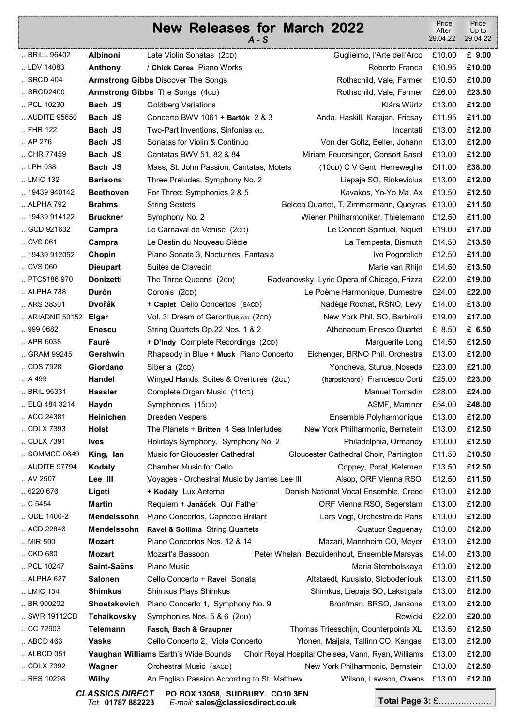## **New Releases for March 2022**  *A - S* Price After 29.04.22 Price Up to 29.04.22 .. BRILL 96402 **Albinoni** Late Violin Sonatas (2CD) Guglielmo, l'Arte dell'Arco £10.00 **£ 9.00**  .. LDV 14083 **Anthony / Chick Corea** Piano Works **Roberto Franca £10.95 £10.00 Anthony** .. SRCD 404 **Armstrong Gibbs** Discover The Songs **Reducer 2006** Rothschild, Vale, Farmer £10.50 **£10.00 £10.00** .. SRCD2400 **Armstrong Gibbs** The Songs (4CD) Rothschild, Vale, Farmer £26.00 **£23.50**  .. PCL 10230 **Bach JS** Goldberg Variations **CONSING CONSING CONSING CONSINGLY 213.00 <b>E12.00 E12.00** .. AUDITE 95650 **Bach JS** Concerto BWV 1061 + **Bartók** 2 & 3 Anda, Haskill, Karajan, Fricsay £11.95 **£11.00**  .. FHR 122 **Bach JS** Two-Part Inventions, Sinfonias etc. Incantati £13.00 **£12.00**  .. AP 276 **Bach JS** Sonatas for Violin & Continuo Von der Goltz, Beller, Johann £13.00 **£12.00**  .. CHR 77459 **Bach JS** Cantatas BWV 51, 82 & 84 Miriam Feuersinger, Consort Basel £13.00 **£12.00**  .. LPH 038 **Bach JS** Mass, St. John Passion, Cantatas, Motets (10CD) C V Gent, Herreweghe £41.00 **£38.00**  .. LMIC 132 **Barisons** Three Preludes, Symphony No. 2 Liepaja SO, Rinkevicius £13.00 **£12.00**  .. 19439 940142 **Beethoven** For Three: Symphonies 2 & 5 Kavakos, Yo-Yo Ma, Ax £13.50 **£12.50** .. ALPHA 792 **Brahms** String Sextets Belcea Quartet, T. Zimmermann, Queyras £13.00 **£11.50** .. 19439 914122 **Bruckner** Symphony No. 2 Wiener Philharmoniker, Thielemann £12.50 **£11.00**  .. GCD 921632 **Campra** Le Carnaval de Venise (2CD) Le Concert Spirituel, Niquet £19.00 **£17.00**  .. CVS 061 **Campra** Le Destin du Nouveau Siècle La Tempesta, Bismuth £14.50 **£13.50**  .. 19439 912052 **Chopin** Piano Sonata 3, Nocturnes, Fantasia Ivo Pogorelich £12.50 **£11.00**  .. CVS 060 **Dieupart** Suites de Clavecin Marie van Rhijn £14.50 **£13.50**  .. PTC5186 970 **Donizetti** The Three Queens (2CD) Radvanovsky, Lyric Opera of Chicago, Frizza £22.00 **£19.00**  .. ALPHA 788 **Durón** Coronis (2CD) Le Poème Harmonique, Dumestre £24.00 **£22.00**  .. ARS 38301 **Dvořák** + **Caplet** Cello Concertos (SACD) Nadège Rochat, RSNO, Levy £14.00 **£13.00**  .. ARIADNE 50152 **Elgar** Vol. 3: Dream of Gerontius etc. (2CD) New York Phil. SO, Barbirolli £19.00 **£17.00**  .. 999 0682 **Enescu** String Quartets Op.22 Nos. 1 & 2 Athenaeum Enesco Quartet £ 8.50 **£ 6.50**  .. APR 6038 **Fauré** + **D'Indy** Complete Recordings (2CD) Marguerite Long £14.50 **£12.50**  .. GRAM 99245 **Gershwin** Rhapsody in Blue + **Muck** Piano Concerto Eichenger, BRNO Phil. Orchestra £13.00 **£12.00**  .. CDS 7928 **Giordano** Siberia (2CD) Yoncheva, Sturua, Noseda £23.00 **£21.00**  .. A 499 **Handel** Winged Hands: Suites & Overtures (2CD) (harpsichord) Francesco Corti £25.00 **£23.00**  .. BRIL 95331 **Hassler** Complete Organ Music (11CD) Manuel Tomadin £28.00 **£24.00**  .. ELQ 484 3214 **Haydn** Symphonies (15CD) ASMF, Marriner £54.00 **£48.00**  .. ACC 24381 **Heinichen** Dresden Vespers Ensemble Polyharmonique £13.00 **£12.00**  .. CDLX 7393 **Holst** The Planets + **Britten** 4 Sea Interludes New York Philharmonic, Bernstein £13.00 **£12.50**  .. CDLX 7391 **Ives** Holidays Symphony, Symphony No. 2 Philadelphia, Ormandy £13.00 **£12.50**  .. SOMMCD 0649 **King, Ian** Music for Gloucester Cathedral Gloucester Cathedral Choir, Partington £11.50 **£10.50**  .. AUDITE 97794 **Kodály** Chamber Music for Cello Coppey, Porat, Kelemen £13.50 **£12.50**  .. AV 2507 **Lee III** Voyages - Orchestral Music by James Lee III Alsop, ORF Vienna RSO £12.50 **£11.50**  .. 6220 676 **Ligeti** + **Kodály** Lux Aeterna Danish National Vocal Ensemble, Creed £13.00 **£12.00**  .. C 5454 **Martin** Requiem + **Janáček** Our Father ORF Vienna RSO, Segerstam £13.00 **£12.00**  .. ODE 1400-2 **Mendelssohn** Piano Concertos, Capriccio Brillant Lars Vogt, Orchestre de Paris £13.00 **£12.00**  .. ACD 22846 **Mendelssohn Ravel & Sollima** String Quartets Quatuor Saguenay £13.00 **£12.00**  .. MIR 590 **Mozart** Piano Concertos Nos. 12 & 14 Mazari, Mannheim CO, Meyer £13.00 **£12.00**  .. CKD 680 **Mozart** Mozart's Bassoon Peter Whelan, Bezuidenhout, Ensemble Marsyas £14.00 **£13.00**  .. PCL 10247 **Saint-Saëns** Piano Music Maria Stembolskaya £13.00 **£12.00**

.. LMIC 134 **Shimkus** Shimkus Plays Shimkus Shimkus, Liepaja SO, Lakstigala £13.00 **£12.00**  .. BR 900202 **Shostakovich** Piano Concerto 1, Symphony No. 9 Bronfman, BRSO, Jansons £13.00 **£12.00**  .. SWR 19112CD **Tchaikovsky** Symphonies Nos. 5 & 6 (2cD) **Rowicki E22.00 £20.00 £20.00** .. CC 72903 **Telemann Fasch, Bach & Graupner** Thomas Triesschijn, Counterpoints XL £13.50 **£12.50**  .. ABCD 463 **Vasks** Cello Concerto 2, Viola Concerto Ylonen, Maijala, Tallinn CO, Kangas £13.00 **£12.00**  .. ALBCD 051 £13.00 **£12.00 Vaughan Williams** Earth's Wide Bounds Choir Royal Hospital Chelsea, Vann, Ryan, Williams .. CDLX 7392 **Wagner** Orchestral Music (SACD) New York Philharmonic, Bernstein £13.00 **£12.50**  .. RES 10298 **Wilby** An English Passion According to St. Matthew Wilson, Lawson, Owens £13.00 **£12.00** 

.. ALPHA 627 **Salonen** Cello Concerto + **Ravel** Sonata Altstaedt, Kuusisto, Slobodeniouk £13.00 **£11.50** 

*CLASSICS DIRECT* **PO BOX 13058, SUDBURY. CO10 3EN**  *Tel*: **01787 882223** *E-mail:* **sales@classicsdirect.co.uk**

**Total Page 3:** £……………….